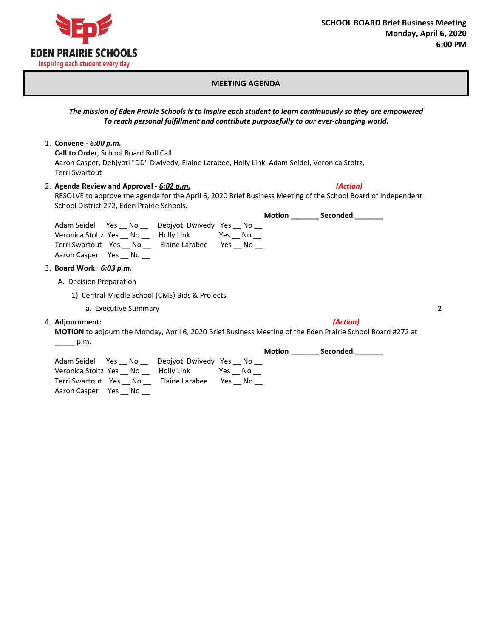

## **MEETING AGENDA**

*The mission of Eden Prairie Schools is to inspire each student to learn continuously so they are empowered To reach personal fulfillment and contribute purposefully to our ever-changing world.*

1. **Convene -** *6:00 p.m.*

**Call to Order**, School Board Roll Call Aaron Casper, Debjyoti "DD" Dwivedy, Elaine Larabee, Holly Link, Adam Seidel, Veronica Stoltz, Terri Swartout

## 2. **Agenda Review and Approval -** *6:02 p.m.**(Action)*

RESOLVE to approve the agenda for the April 6, 2020 Brief Business Meeting of the School Board of Independent School District 272, Eden Prairie Schools.

|                          |        |                         |        | <b>Motion</b> | Seconded |  |
|--------------------------|--------|-------------------------|--------|---------------|----------|--|
| Adam Seidel              | Yes No | Debiyoti Dwivedy Yes No |        |               |          |  |
| Veronica Stoltz Yes No   |        | Holly Link              | Yes No |               |          |  |
| Terri Swartout Yes No    |        | Elaine Larabee          | Yes No |               |          |  |
| Aaron Casper Yes No      |        |                         |        |               |          |  |
| 3. Board Work: 6:03 p.m. |        |                         |        |               |          |  |

A. Decision Preparation

- 1) Central Middle School (CMS) Bids & Projects
	- a. Executive Summary 2
- 4. **Adjournment:** *(Action)*

**MOTION** to adjourn the Monday, April 6, 2020 Brief Business Meeting of the Eden Prairie School Board #272 at  $\frac{p.m.}{p.m.}$ 

|                        |     |                         |        | <b>Motion</b> | Seconded |
|------------------------|-----|-------------------------|--------|---------------|----------|
| Adam Seidel Yes No     |     | Debiyoti Dwivedy Yes No |        |               |          |
| Veronica Stoltz Yes No |     | Holly Link              | Yes No |               |          |
| Terri Swartout Yes No  |     | Elaine Larabee          | Yes No |               |          |
| Aaron Casper Yes       | No. |                         |        |               |          |